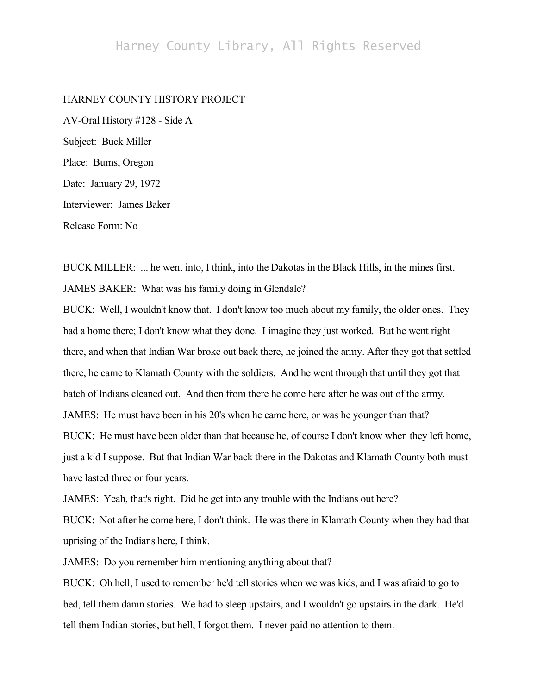## HARNEY COUNTY HISTORY PROJECT

AV-Oral History #128 - Side A Subject: Buck Miller Place: Burns, Oregon Date: January 29, 1972 Interviewer: James Baker Release Form: No

BUCK MILLER: ... he went into, I think, into the Dakotas in the Black Hills, in the mines first. JAMES BAKER: What was his family doing in Glendale?

BUCK: Well, I wouldn't know that. I don't know too much about my family, the older ones. They had a home there; I don't know what they done. I imagine they just worked. But he went right there, and when that Indian War broke out back there, he joined the army. After they got that settled there, he came to Klamath County with the soldiers. And he went through that until they got that batch of Indians cleaned out. And then from there he come here after he was out of the army. JAMES: He must have been in his 20's when he came here, or was he younger than that? BUCK: He must have been older than that because he, of course I don't know when they left home, just a kid I suppose. But that Indian War back there in the Dakotas and Klamath County both must have lasted three or four years.

JAMES: Yeah, that's right. Did he get into any trouble with the Indians out here?

BUCK: Not after he come here, I don't think. He was there in Klamath County when they had that uprising of the Indians here, I think.

JAMES: Do you remember him mentioning anything about that?

BUCK: Oh hell, I used to remember he'd tell stories when we was kids, and I was afraid to go to bed, tell them damn stories. We had to sleep upstairs, and I wouldn't go upstairs in the dark. He'd tell them Indian stories, but hell, I forgot them. I never paid no attention to them.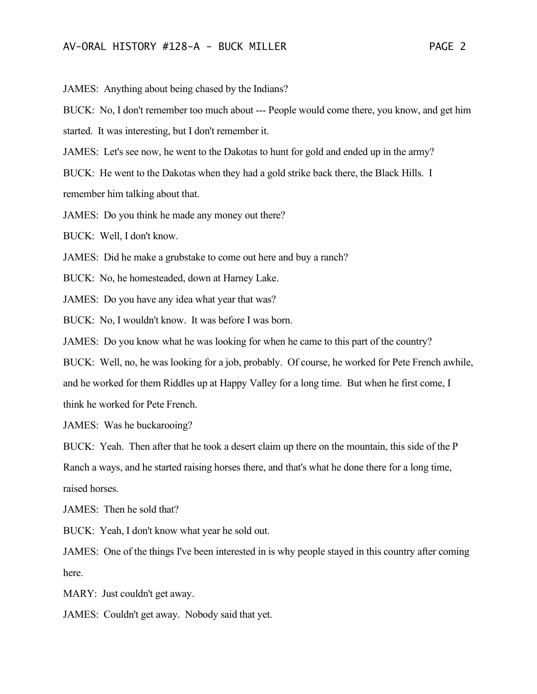JAMES: Anything about being chased by the Indians?

BUCK: No, I don't remember too much about --- People would come there, you know, and get him started. It was interesting, but I don't remember it.

JAMES: Let's see now, he went to the Dakotas to hunt for gold and ended up in the army?

BUCK: He went to the Dakotas when they had a gold strike back there, the Black Hills. I

remember him talking about that.

JAMES: Do you think he made any money out there?

BUCK: Well, I don't know.

JAMES: Did he make a grubstake to come out here and buy a ranch?

BUCK: No, he homesteaded, down at Harney Lake.

JAMES: Do you have any idea what year that was?

BUCK: No, I wouldn't know. It was before I was born.

JAMES: Do you know what he was looking for when he came to this part of the country?

BUCK: Well, no, he was looking for a job, probably. Of course, he worked for Pete French awhile,

and he worked for them Riddles up at Happy Valley for a long time. But when he first come, I

think he worked for Pete French.

JAMES: Was he buckarooing?

BUCK: Yeah. Then after that he took a desert claim up there on the mountain, this side of the P Ranch a ways, and he started raising horses there, and that's what he done there for a long time, raised horses.

JAMES: Then he sold that?

BUCK: Yeah, I don't know what year he sold out.

JAMES: One of the things I've been interested in is why people stayed in this country after coming here.

MARY: Just couldn't get away.

JAMES: Couldn't get away. Nobody said that yet.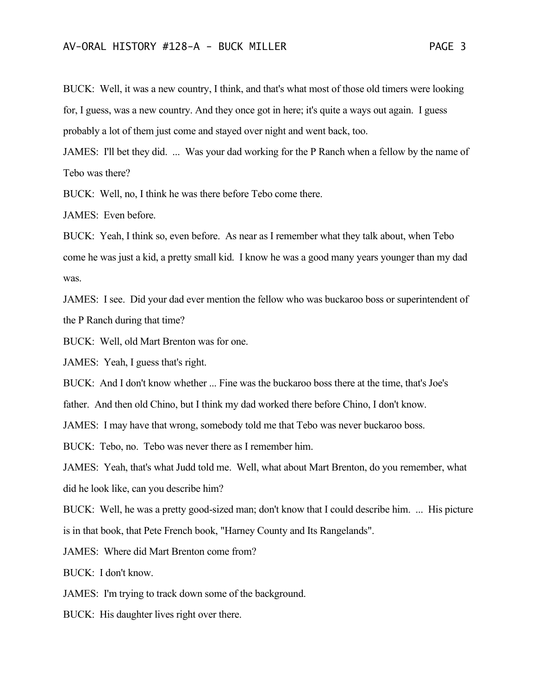BUCK: Well, it was a new country, I think, and that's what most of those old timers were looking for, I guess, was a new country. And they once got in here; it's quite a ways out again. I guess probably a lot of them just come and stayed over night and went back, too.

JAMES: I'll bet they did. ... Was your dad working for the P Ranch when a fellow by the name of Tebo was there?

BUCK: Well, no, I think he was there before Tebo come there.

JAMES: Even before.

BUCK: Yeah, I think so, even before. As near as I remember what they talk about, when Tebo come he was just a kid, a pretty small kid. I know he was a good many years younger than my dad was.

JAMES: I see. Did your dad ever mention the fellow who was buckaroo boss or superintendent of the P Ranch during that time?

BUCK: Well, old Mart Brenton was for one.

JAMES: Yeah, I guess that's right.

BUCK: And I don't know whether ... Fine was the buckaroo boss there at the time, that's Joe's

father. And then old Chino, but I think my dad worked there before Chino, I don't know.

JAMES: I may have that wrong, somebody told me that Tebo was never buckaroo boss.

BUCK: Tebo, no. Tebo was never there as I remember him.

JAMES: Yeah, that's what Judd told me. Well, what about Mart Brenton, do you remember, what did he look like, can you describe him?

BUCK: Well, he was a pretty good-sized man; don't know that I could describe him. ... His picture is in that book, that Pete French book, "Harney County and Its Rangelands".

JAMES: Where did Mart Brenton come from?

BUCK: I don't know.

JAMES: I'm trying to track down some of the background.

BUCK: His daughter lives right over there.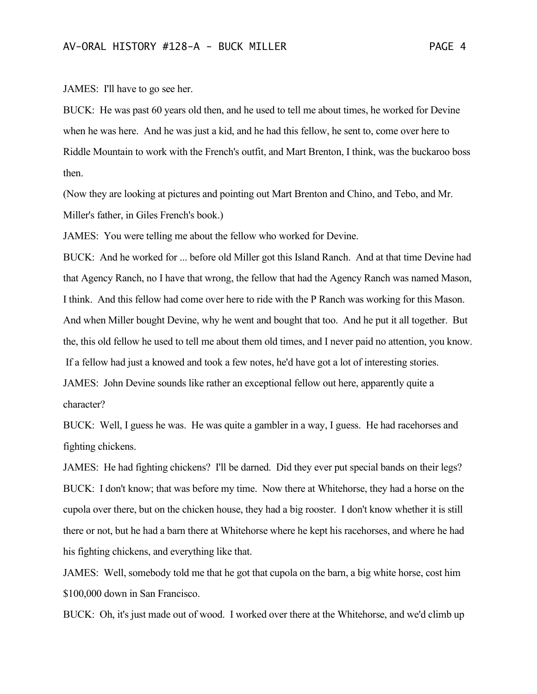JAMES: I'll have to go see her.

BUCK: He was past 60 years old then, and he used to tell me about times, he worked for Devine when he was here. And he was just a kid, and he had this fellow, he sent to, come over here to Riddle Mountain to work with the French's outfit, and Mart Brenton, I think, was the buckaroo boss then.

(Now they are looking at pictures and pointing out Mart Brenton and Chino, and Tebo, and Mr. Miller's father, in Giles French's book.)

JAMES: You were telling me about the fellow who worked for Devine.

BUCK: And he worked for ... before old Miller got this Island Ranch. And at that time Devine had that Agency Ranch, no I have that wrong, the fellow that had the Agency Ranch was named Mason, I think. And this fellow had come over here to ride with the P Ranch was working for this Mason. And when Miller bought Devine, why he went and bought that too. And he put it all together. But the, this old fellow he used to tell me about them old times, and I never paid no attention, you know. If a fellow had just a knowed and took a few notes, he'd have got a lot of interesting stories. JAMES: John Devine sounds like rather an exceptional fellow out here, apparently quite a

character?

BUCK: Well, I guess he was. He was quite a gambler in a way, I guess. He had racehorses and fighting chickens.

JAMES: He had fighting chickens? I'll be darned. Did they ever put special bands on their legs? BUCK: I don't know; that was before my time. Now there at Whitehorse, they had a horse on the cupola over there, but on the chicken house, they had a big rooster. I don't know whether it is still there or not, but he had a barn there at Whitehorse where he kept his racehorses, and where he had his fighting chickens, and everything like that.

JAMES: Well, somebody told me that he got that cupola on the barn, a big white horse, cost him \$100,000 down in San Francisco.

BUCK: Oh, it's just made out of wood. I worked over there at the Whitehorse, and we'd climb up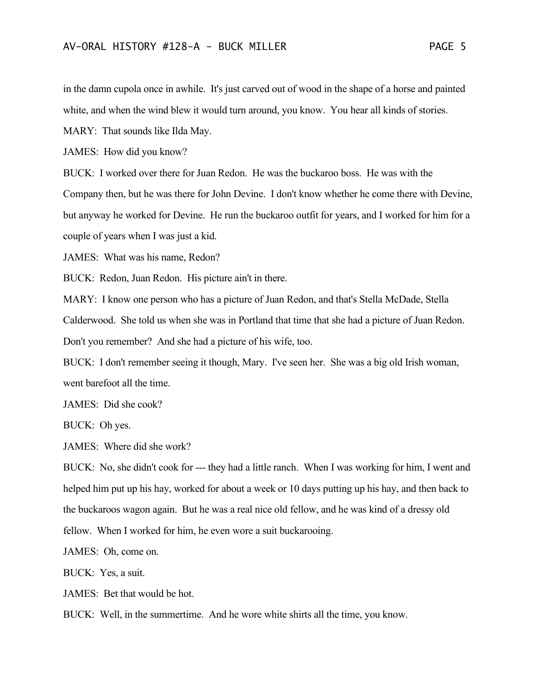in the damn cupola once in awhile. It's just carved out of wood in the shape of a horse and painted white, and when the wind blew it would turn around, you know. You hear all kinds of stories.

MARY: That sounds like Ilda May.

JAMES: How did you know?

BUCK: I worked over there for Juan Redon. He was the buckaroo boss. He was with the Company then, but he was there for John Devine. I don't know whether he come there with Devine, but anyway he worked for Devine. He run the buckaroo outfit for years, and I worked for him for a couple of years when I was just a kid.

JAMES: What was his name, Redon?

BUCK: Redon, Juan Redon. His picture ain't in there.

MARY: I know one person who has a picture of Juan Redon, and that's Stella McDade, Stella Calderwood. She told us when she was in Portland that time that she had a picture of Juan Redon. Don't you remember? And she had a picture of his wife, too.

BUCK: I don't remember seeing it though, Mary. I've seen her. She was a big old Irish woman, went barefoot all the time.

JAMES: Did she cook?

BUCK: Oh yes.

JAMES: Where did she work?

BUCK: No, she didn't cook for --- they had a little ranch. When I was working for him, I went and helped him put up his hay, worked for about a week or 10 days putting up his hay, and then back to the buckaroos wagon again. But he was a real nice old fellow, and he was kind of a dressy old fellow. When I worked for him, he even wore a suit buckarooing.

JAMES: Oh, come on.

BUCK: Yes, a suit.

JAMES: Bet that would be hot.

BUCK: Well, in the summertime. And he wore white shirts all the time, you know.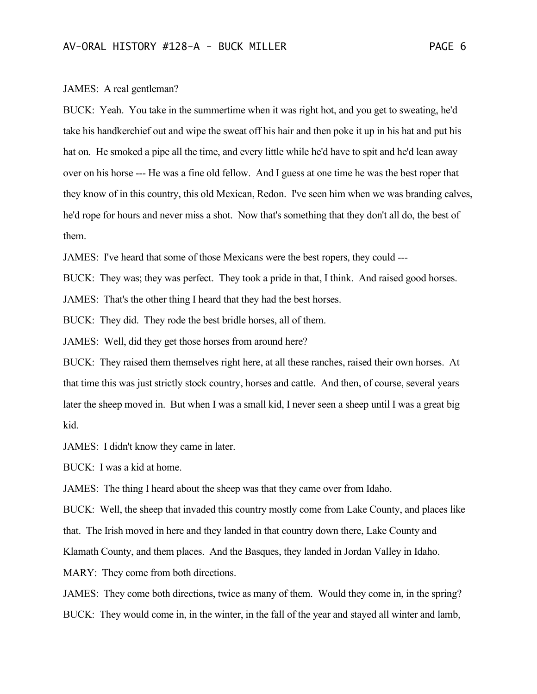## JAMES: A real gentleman?

BUCK: Yeah. You take in the summertime when it was right hot, and you get to sweating, he'd take his handkerchief out and wipe the sweat off his hair and then poke it up in his hat and put his hat on. He smoked a pipe all the time, and every little while he'd have to spit and he'd lean away over on his horse --- He was a fine old fellow. And I guess at one time he was the best roper that they know of in this country, this old Mexican, Redon. I've seen him when we was branding calves, he'd rope for hours and never miss a shot. Now that's something that they don't all do, the best of them.

JAMES: I've heard that some of those Mexicans were the best ropers, they could ---

BUCK: They was; they was perfect. They took a pride in that, I think. And raised good horses.

JAMES: That's the other thing I heard that they had the best horses.

BUCK: They did. They rode the best bridle horses, all of them.

JAMES: Well, did they get those horses from around here?

BUCK: They raised them themselves right here, at all these ranches, raised their own horses. At that time this was just strictly stock country, horses and cattle. And then, of course, several years later the sheep moved in. But when I was a small kid, I never seen a sheep until I was a great big kid.

JAMES: I didn't know they came in later.

BUCK: I was a kid at home.

JAMES: The thing I heard about the sheep was that they came over from Idaho.

BUCK: Well, the sheep that invaded this country mostly come from Lake County, and places like

that. The Irish moved in here and they landed in that country down there, Lake County and

Klamath County, and them places. And the Basques, they landed in Jordan Valley in Idaho.

MARY: They come from both directions.

JAMES: They come both directions, twice as many of them. Would they come in, in the spring? BUCK: They would come in, in the winter, in the fall of the year and stayed all winter and lamb,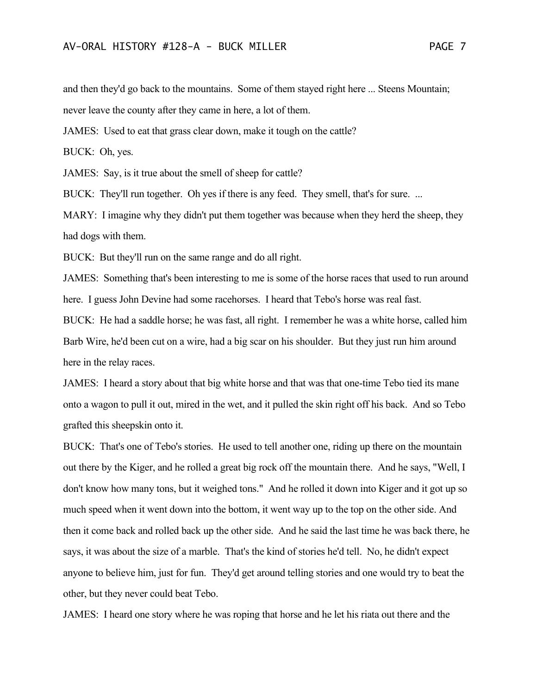and then they'd go back to the mountains. Some of them stayed right here ... Steens Mountain; never leave the county after they came in here, a lot of them.

JAMES: Used to eat that grass clear down, make it tough on the cattle?

BUCK: Oh, yes.

JAMES: Say, is it true about the smell of sheep for cattle?

BUCK: They'll run together. Oh yes if there is any feed. They smell, that's for sure. ...

MARY: I imagine why they didn't put them together was because when they herd the sheep, they had dogs with them.

BUCK: But they'll run on the same range and do all right.

JAMES: Something that's been interesting to me is some of the horse races that used to run around here. I guess John Devine had some racehorses. I heard that Tebo's horse was real fast.

BUCK: He had a saddle horse; he was fast, all right. I remember he was a white horse, called him Barb Wire, he'd been cut on a wire, had a big scar on his shoulder. But they just run him around here in the relay races.

JAMES: I heard a story about that big white horse and that was that one-time Tebo tied its mane onto a wagon to pull it out, mired in the wet, and it pulled the skin right off his back. And so Tebo grafted this sheepskin onto it.

BUCK: That's one of Tebo's stories. He used to tell another one, riding up there on the mountain out there by the Kiger, and he rolled a great big rock off the mountain there. And he says, "Well, I don't know how many tons, but it weighed tons." And he rolled it down into Kiger and it got up so much speed when it went down into the bottom, it went way up to the top on the other side. And then it come back and rolled back up the other side. And he said the last time he was back there, he says, it was about the size of a marble. That's the kind of stories he'd tell. No, he didn't expect anyone to believe him, just for fun. They'd get around telling stories and one would try to beat the other, but they never could beat Tebo.

JAMES: I heard one story where he was roping that horse and he let his riata out there and the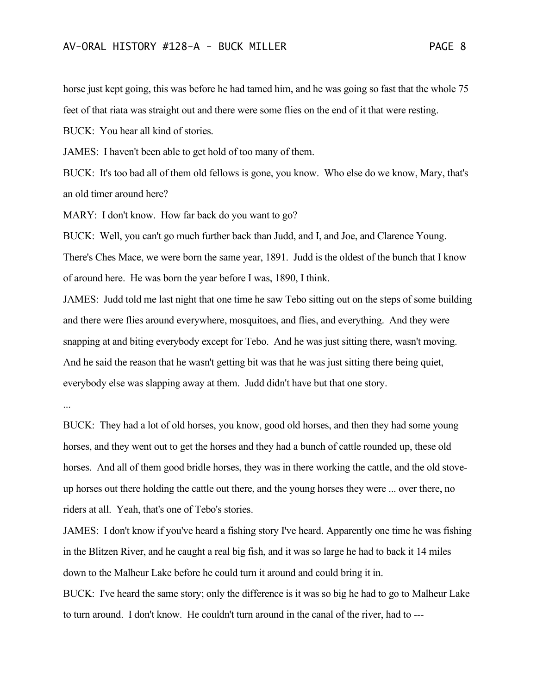horse just kept going, this was before he had tamed him, and he was going so fast that the whole 75 feet of that riata was straight out and there were some flies on the end of it that were resting.

BUCK: You hear all kind of stories.

JAMES: I haven't been able to get hold of too many of them.

BUCK: It's too bad all of them old fellows is gone, you know. Who else do we know, Mary, that's an old timer around here?

MARY: I don't know. How far back do you want to go?

BUCK: Well, you can't go much further back than Judd, and I, and Joe, and Clarence Young. There's Ches Mace, we were born the same year, 1891. Judd is the oldest of the bunch that I know of around here. He was born the year before I was, 1890, I think.

JAMES: Judd told me last night that one time he saw Tebo sitting out on the steps of some building and there were flies around everywhere, mosquitoes, and flies, and everything. And they were snapping at and biting everybody except for Tebo. And he was just sitting there, wasn't moving. And he said the reason that he wasn't getting bit was that he was just sitting there being quiet, everybody else was slapping away at them. Judd didn't have but that one story.

...

BUCK: They had a lot of old horses, you know, good old horses, and then they had some young horses, and they went out to get the horses and they had a bunch of cattle rounded up, these old horses. And all of them good bridle horses, they was in there working the cattle, and the old stoveup horses out there holding the cattle out there, and the young horses they were ... over there, no riders at all. Yeah, that's one of Tebo's stories.

JAMES: I don't know if you've heard a fishing story I've heard. Apparently one time he was fishing in the Blitzen River, and he caught a real big fish, and it was so large he had to back it 14 miles down to the Malheur Lake before he could turn it around and could bring it in.

BUCK: I've heard the same story; only the difference is it was so big he had to go to Malheur Lake to turn around. I don't know. He couldn't turn around in the canal of the river, had to ---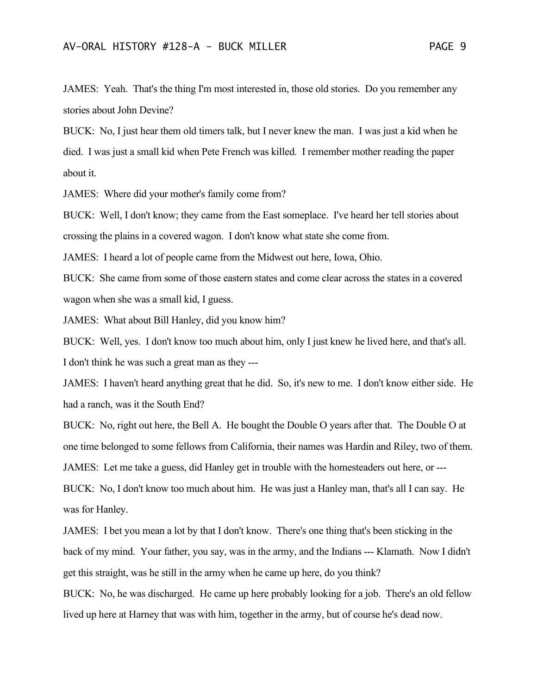JAMES: Yeah. That's the thing I'm most interested in, those old stories. Do you remember any stories about John Devine?

BUCK: No, I just hear them old timers talk, but I never knew the man. I was just a kid when he died. I was just a small kid when Pete French was killed. I remember mother reading the paper about it.

JAMES: Where did your mother's family come from?

BUCK: Well, I don't know; they came from the East someplace. I've heard her tell stories about crossing the plains in a covered wagon. I don't know what state she come from.

JAMES: I heard a lot of people came from the Midwest out here, Iowa, Ohio.

BUCK: She came from some of those eastern states and come clear across the states in a covered wagon when she was a small kid, I guess.

JAMES: What about Bill Hanley, did you know him?

BUCK: Well, yes. I don't know too much about him, only I just knew he lived here, and that's all. I don't think he was such a great man as they ---

JAMES: I haven't heard anything great that he did. So, it's new to me. I don't know either side. He had a ranch, was it the South End?

BUCK: No, right out here, the Bell A. He bought the Double O years after that. The Double O at one time belonged to some fellows from California, their names was Hardin and Riley, two of them. JAMES: Let me take a guess, did Hanley get in trouble with the homesteaders out here, or --- BUCK: No, I don't know too much about him. He was just a Hanley man, that's all I can say. He

was for Hanley.

JAMES: I bet you mean a lot by that I don't know. There's one thing that's been sticking in the back of my mind. Your father, you say, was in the army, and the Indians --- Klamath. Now I didn't get this straight, was he still in the army when he came up here, do you think?

BUCK: No, he was discharged. He came up here probably looking for a job. There's an old fellow lived up here at Harney that was with him, together in the army, but of course he's dead now.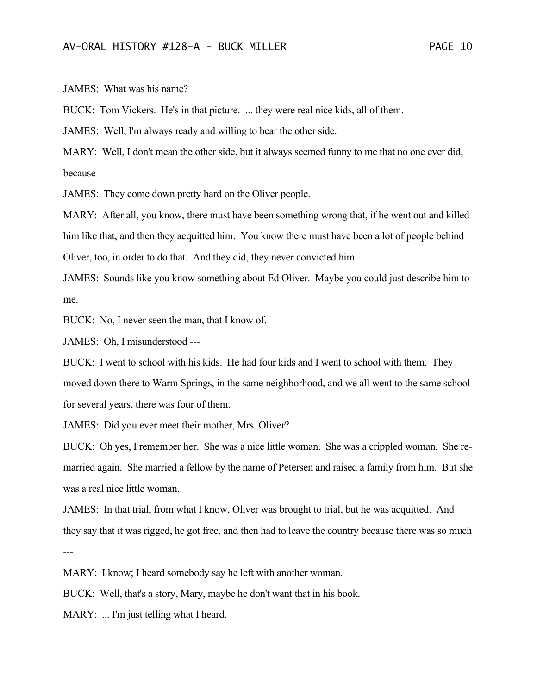JAMES: What was his name?

BUCK: Tom Vickers. He's in that picture. ... they were real nice kids, all of them.

JAMES: Well, I'm always ready and willing to hear the other side.

MARY: Well, I don't mean the other side, but it always seemed funny to me that no one ever did, because ---

JAMES: They come down pretty hard on the Oliver people.

MARY: After all, you know, there must have been something wrong that, if he went out and killed him like that, and then they acquitted him. You know there must have been a lot of people behind Oliver, too, in order to do that. And they did, they never convicted him.

JAMES: Sounds like you know something about Ed Oliver. Maybe you could just describe him to me.

BUCK: No, I never seen the man, that I know of.

JAMES: Oh, I misunderstood ---

BUCK: I went to school with his kids. He had four kids and I went to school with them. They moved down there to Warm Springs, in the same neighborhood, and we all went to the same school for several years, there was four of them.

JAMES: Did you ever meet their mother, Mrs. Oliver?

BUCK: Oh yes, I remember her. She was a nice little woman. She was a crippled woman. She remarried again. She married a fellow by the name of Petersen and raised a family from him. But she was a real nice little woman.

JAMES: In that trial, from what I know, Oliver was brought to trial, but he was acquitted. And they say that it was rigged, he got free, and then had to leave the country because there was so much ---

MARY: I know; I heard somebody say he left with another woman.

BUCK: Well, that's a story, Mary, maybe he don't want that in his book.

MARY: ... I'm just telling what I heard.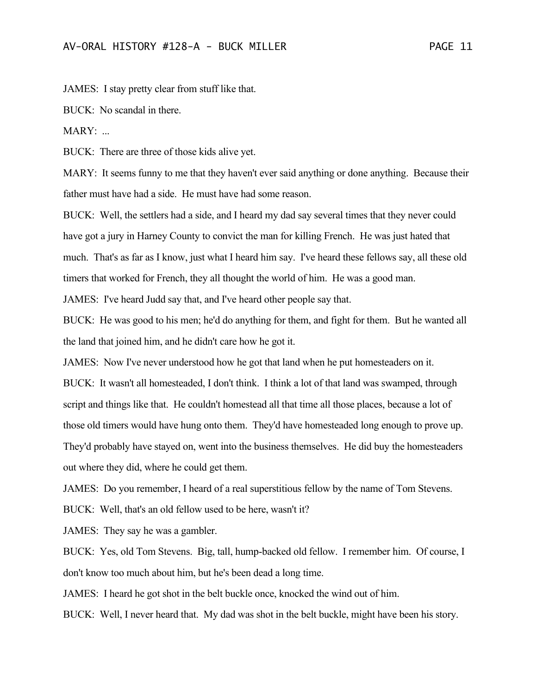JAMES: I stay pretty clear from stuff like that.

BUCK: No scandal in there.

MARY: ...

BUCK: There are three of those kids alive yet.

MARY: It seems funny to me that they haven't ever said anything or done anything. Because their father must have had a side. He must have had some reason.

BUCK: Well, the settlers had a side, and I heard my dad say several times that they never could have got a jury in Harney County to convict the man for killing French. He was just hated that much. That's as far as I know, just what I heard him say. I've heard these fellows say, all these old timers that worked for French, they all thought the world of him. He was a good man.

JAMES: I've heard Judd say that, and I've heard other people say that.

BUCK: He was good to his men; he'd do anything for them, and fight for them. But he wanted all the land that joined him, and he didn't care how he got it.

JAMES: Now I've never understood how he got that land when he put homesteaders on it. BUCK: It wasn't all homesteaded, I don't think. I think a lot of that land was swamped, through script and things like that. He couldn't homestead all that time all those places, because a lot of those old timers would have hung onto them. They'd have homesteaded long enough to prove up. They'd probably have stayed on, went into the business themselves. He did buy the homesteaders out where they did, where he could get them.

JAMES: Do you remember, I heard of a real superstitious fellow by the name of Tom Stevens.

BUCK: Well, that's an old fellow used to be here, wasn't it?

JAMES: They say he was a gambler.

BUCK: Yes, old Tom Stevens. Big, tall, hump-backed old fellow. I remember him. Of course, I don't know too much about him, but he's been dead a long time.

JAMES: I heard he got shot in the belt buckle once, knocked the wind out of him.

BUCK: Well, I never heard that. My dad was shot in the belt buckle, might have been his story.